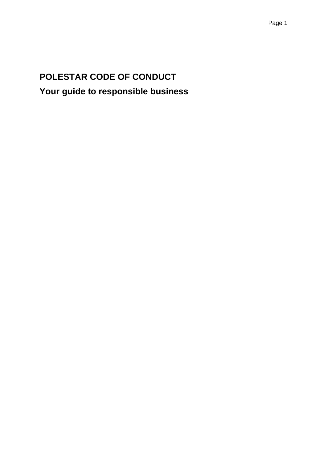# **POLESTAR CODE OF CONDUCT Your guide to responsible business**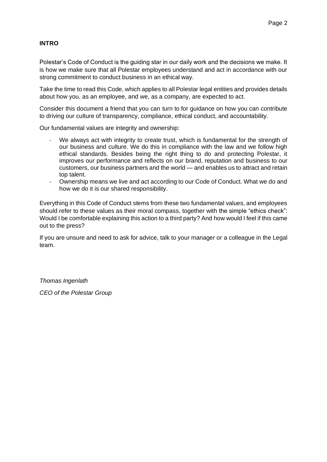### **INTRO**

Polestar's Code of Conduct is the guiding star in our daily work and the decisions we make. It is how we make sure that all Polestar employees understand and act in accordance with our strong commitment to conduct business in an ethical way.

Take the time to read this Code, which applies to all Polestar legal entities and provides details about how you, as an employee, and we, as a company, are expected to act.

Consider this document a friend that you can turn to for guidance on how you can contribute to driving our culture of transparency, compliance, ethical conduct, and accountability.

Our fundamental values are integrity and ownership:

- We always act with integrity to create trust, which is fundamental for the strength of our business and culture. We do this in compliance with the law and we follow high ethical standards. Besides being the right thing to do and protecting Polestar, it improves our performance and reflects on our brand, reputation and business to our customers, our business partners and the world — and enables us to attract and retain top talent.
- Ownership means we live and act according to our Code of Conduct. What we do and how we do it is our shared responsibility.

Everything in this Code of Conduct stems from these two fundamental values, and employees should refer to these values as their moral compass, together with the simple "ethics check": Would I be comfortable explaining this action to a third party? And how would I feel if this came out to the press?

If you are unsure and need to ask for advice, talk to your manager or a colleague in the Legal team.

*Thomas Ingenlath CEO of the Polestar Group*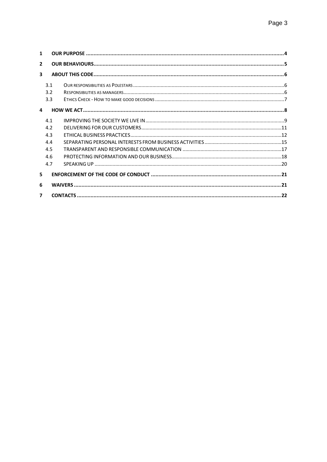| 1              |     |  |  |  |
|----------------|-----|--|--|--|
| $\overline{2}$ |     |  |  |  |
| 3              |     |  |  |  |
|                | 3.1 |  |  |  |
|                | 3.2 |  |  |  |
|                | 3.3 |  |  |  |
| 4              |     |  |  |  |
|                | 41  |  |  |  |
|                | 4.2 |  |  |  |
|                | 4.3 |  |  |  |
|                | 4.4 |  |  |  |
|                | 4.5 |  |  |  |
|                | 4.6 |  |  |  |
|                | 4.7 |  |  |  |
| 5              |     |  |  |  |
| 6              |     |  |  |  |
| 7              |     |  |  |  |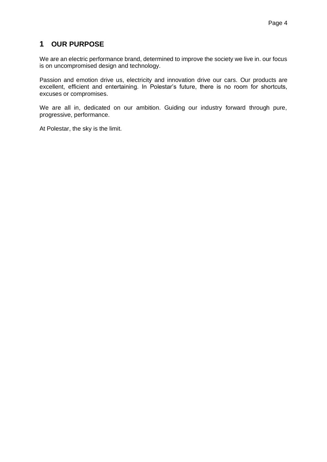# <span id="page-3-0"></span>**1 OUR PURPOSE**

We are an electric performance brand, determined to improve the society we live in. our focus is on uncompromised design and technology.

Passion and emotion drive us, electricity and innovation drive our cars. Our products are excellent, efficient and entertaining. In Polestar's future, there is no room for shortcuts, excuses or compromises.

We are all in, dedicated on our ambition. Guiding our industry forward through pure, progressive, performance.

At Polestar, the sky is the limit.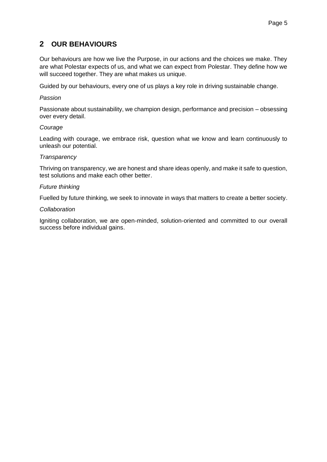# <span id="page-4-0"></span>**2 OUR BEHAVIOURS**

Our behaviours are how we live the Purpose, in our actions and the choices we make. They are what Polestar expects of us, and what we can expect from Polestar. They define how we will succeed together. They are what makes us unique.

Guided by our behaviours, every one of us plays a key role in driving sustainable change.

#### *Passion*

Passionate about sustainability, we champion design, performance and precision – obsessing over every detail.

#### *Courage*

Leading with courage, we embrace risk, question what we know and learn continuously to unleash our potential.

#### *Transparency*

Thriving on transparency, we are honest and share ideas openly, and make it safe to question, test solutions and make each other better.

#### *Future thinking*

Fuelled by future thinking, we seek to innovate in ways that matters to create a better society.

#### *Collaboration*

Igniting collaboration, we are open-minded, solution-oriented and committed to our overall success before individual gains.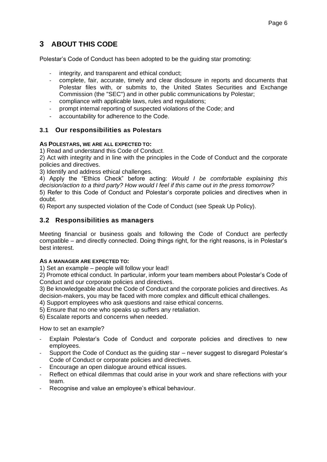# <span id="page-5-0"></span>**3 ABOUT THIS CODE**

Polestar's Code of Conduct has been adopted to be the guiding star promoting:

- integrity, and transparent and ethical conduct;
- complete, fair, accurate, timely and clear disclosure in reports and documents that Polestar files with, or submits to, the United States Securities and Exchange Commission (the "SEC") and in other public communications by Polestar;
- compliance with applicable laws, rules and regulations;
- prompt internal reporting of suspected violations of the Code; and
- accountability for adherence to the Code.

# <span id="page-5-1"></span>**3.1 Our responsibilities as Polestars**

#### **AS POLESTARS, WE ARE ALL EXPECTED TO:**

1) Read and understand this Code of Conduct.

2) Act with integrity and in line with the principles in the Code of Conduct and the corporate policies and directives.

3) Identify and address ethical challenges.

4) Apply the "Ethics Check" before acting: *Would I be comfortable explaining this decision/action to a third party? How would I feel if this came out in the press tomorrow?* 5) Refer to this Code of Conduct and Polestar's corporate policies and directives when in doubt.

6) Report any suspected violation of the Code of Conduct (see Speak Up Policy).

# <span id="page-5-2"></span>**3.2 Responsibilities as managers**

Meeting financial or business goals and following the Code of Conduct are perfectly compatible – and directly connected. Doing things right, for the right reasons, is in Polestar's best interest.

#### **AS A MANAGER ARE EXPECTED TO:**

1) Set an example – people will follow your lead!

2) Promote ethical conduct. In particular, inform your team members about Polestar's Code of Conduct and our corporate policies and directives.

3) Be knowledgeable about the Code of Conduct and the corporate policies and directives. As decision-makers, you may be faced with more complex and difficult ethical challenges.

4) Support employees who ask questions and raise ethical concerns.

5) Ensure that no one who speaks up suffers any retaliation.

6) Escalate reports and concerns when needed.

How to set an example?

- Explain Polestar's Code of Conduct and corporate policies and directives to new employees.
- Support the Code of Conduct as the guiding star never suggest to disregard Polestar's Code of Conduct or corporate policies and directives.
- Encourage an open dialogue around ethical issues.
- Reflect on ethical dilemmas that could arise in your work and share reflections with your team.
- Recognise and value an employee's ethical behaviour.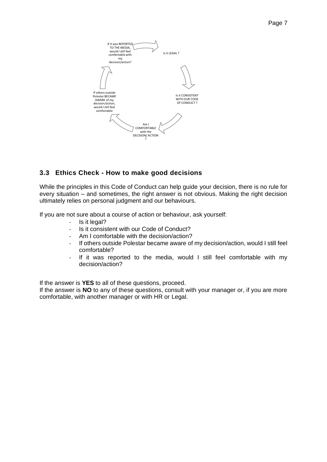

# <span id="page-6-0"></span>**3.3 Ethics Check - How to make good decisions**

While the principles in this Code of Conduct can help guide your decision, there is no rule for every situation – and sometimes, the right answer is not obvious. Making the right decision ultimately relies on personal judgment and our behaviours.

If you are not sure about a course of action or behaviour, ask yourself:

- Is it legal?
- Is it consistent with our Code of Conduct?
- Am I comfortable with the decision/action?
- If others outside Polestar became aware of my decision/action, would I still feel comfortable?
- If it was reported to the media, would I still feel comfortable with my decision/action?

If the answer is **YES** to all of these questions, proceed.

If the answer is **NO** to any of these questions, consult with your manager or, if you are more comfortable, with another manager or with HR or Legal.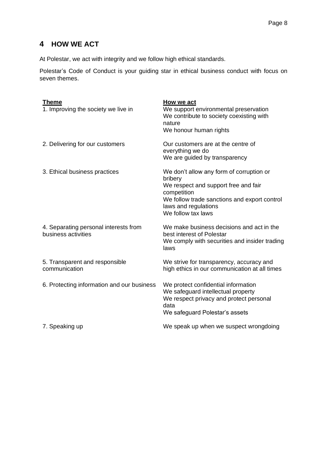# <span id="page-7-0"></span>**4 HOW WE ACT**

At Polestar, we act with integrity and we follow high ethical standards.

Polestar's Code of Conduct is your guiding star in ethical business conduct with focus on seven themes.

| <b>Theme</b><br>1. Improving the society we live in          | <b>How we act</b><br>We support environmental preservation<br>We contribute to society coexisting with<br>nature<br>We honour human rights                                                               |
|--------------------------------------------------------------|----------------------------------------------------------------------------------------------------------------------------------------------------------------------------------------------------------|
| 2. Delivering for our customers                              | Our customers are at the centre of<br>everything we do<br>We are guided by transparency                                                                                                                  |
| 3. Ethical business practices                                | We don't allow any form of corruption or<br>bribery<br>We respect and support free and fair<br>competition<br>We follow trade sanctions and export control<br>laws and regulations<br>We follow tax laws |
| 4. Separating personal interests from<br>business activities | We make business decisions and act in the<br>best interest of Polestar<br>We comply with securities and insider trading<br>laws                                                                          |
| 5. Transparent and responsible<br>communication              | We strive for transparency, accuracy and<br>high ethics in our communication at all times                                                                                                                |
| 6. Protecting information and our business                   | We protect confidential information<br>We safeguard intellectual property<br>We respect privacy and protect personal<br>data<br>We safeguard Polestar's assets                                           |
| 7. Speaking up                                               | We speak up when we suspect wrongdoing                                                                                                                                                                   |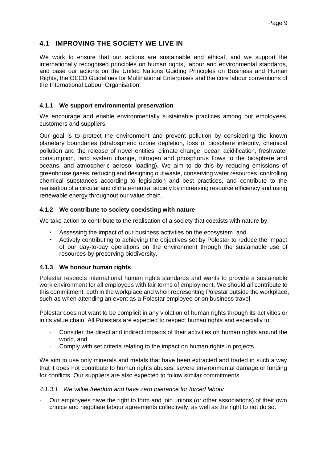# <span id="page-8-0"></span>**4.1 IMPROVING THE SOCIETY WE LIVE IN**

We work to ensure that our actions are sustainable and ethical, and we support the internationally recognised principles on human rights, labour and environmental standards, and base our actions on the United Nations Guiding Principles on Business and Human Rights, the OECD Guidelines for Multinational Enterprises and the core labour conventions of the International Labour Organisation.

### **4.1.1 We support environmental preservation**

We encourage and enable environmentally sustainable practices among our employees, customers and suppliers.

Our goal is to protect the environment and prevent pollution by considering the known planetary boundaries (stratospheric ozone depletion, loss of biosphere integrity, chemical pollution and the release of novel entities, climate change, ocean acidification, freshwater consumption, land system change, nitrogen and phosphorus flows to the biosphere and oceans, and atmospheric aerosol loading). We aim to do this by reducing emissions of greenhouse gases, reducing and designing out waste, conserving water resources, controlling chemical substances according to legislation and best practices, and contribute to the realisation of a circular and climate-neutral society by increasing resource efficiency and using renewable energy throughout our value chain.

#### **4.1.2 We contribute to society coexisting with nature**

We take action to contribute to the realisation of a society that coexists with nature by:

- Assessing the impact of our business activities on the ecosystem, and
- Actively contributing to achieving the objectives set by Polestar to reduce the impact of our day-to-day operations on the environment through the sustainable use of resources by preserving biodiversity.

### **4.1.3 We honour human rights**

Polestar respects international human rights standards and wants to provide a sustainable work environment for all employees with fair terms of employment. We should all contribute to this commitment, both in the workplace and when representing Polestar outside the workplace, such as when attending an event as a Polestar employee or on business travel.

Polestar does not want to be complicit in any violation of human rights through its activities or in its value chain. All Polestars are expected to respect human rights and especially to:

- Consider the direct and indirect impacts of their activities on human rights around the world, and
- Comply with set criteria relating to the impact on human rights in projects.

We aim to use only minerals and metals that have been extracted and traded in such a way that it does not contribute to human rights abuses, severe environmental damage or funding for conflicts. Our suppliers are also expected to follow similar commitments.

#### *4.1.3.1 We value freedom and have zero tolerance for forced labour*

- Our employees have the right to form and join unions (or other associations) of their own choice and negotiate labour agreements collectively, as well as the right to not do so.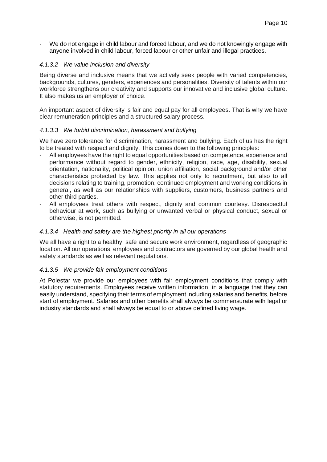- We do not engage in child labour and forced labour, and we do not knowingly engage with anyone involved in child labour, forced labour or other unfair and illegal practices.

#### *4.1.3.2 We value inclusion and diversity*

Being diverse and inclusive means that we actively seek people with varied competencies, backgrounds, cultures, genders, experiences and personalities. Diversity of talents within our workforce strengthens our creativity and supports our innovative and inclusive global culture. It also makes us an employer of choice.

An important aspect of diversity is fair and equal pay for all employees. That is why we have clear remuneration principles and a structured salary process.

#### *4.1.3.3 We forbid discrimination, harassment and bullying*

We have zero tolerance for discrimination, harassment and bullying. Each of us has the right to be treated with respect and dignity. This comes down to the following principles:

- All employees have the right to equal opportunities based on competence, experience and performance without regard to gender, ethnicity, religion, race, age, disability, sexual orientation, nationality, political opinion, union affiliation, social background and/or other characteristics protected by law. This applies not only to recruitment, but also to all decisions relating to training, promotion, continued employment and working conditions in general, as well as our relationships with suppliers, customers, business partners and other third parties.
- All employees treat others with respect, dignity and common courtesy. Disrespectful behaviour at work, such as bullying or unwanted verbal or physical conduct, sexual or otherwise, is not permitted.

#### *4.1.3.4 Health and safety are the highest priority in all our operations*

We all have a right to a healthy, safe and secure work environment, regardless of geographic location. All our operations, employees and contractors are governed by our global health and safety standards as well as relevant regulations.

#### *4.1.3.5 We provide fair employment conditions*

At Polestar we provide our employees with fair employment conditions that comply with statutory requirements. Employees receive written information, in a language that they can easily understand, specifying their terms of employment including salaries and benefits, before start of employment. Salaries and other benefits shall always be commensurate with legal or industry standards and shall always be equal to or above defined living wage.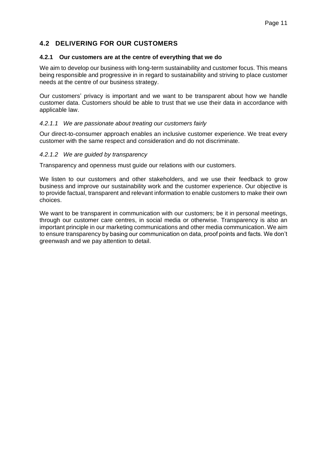# <span id="page-10-0"></span>**4.2 DELIVERING FOR OUR CUSTOMERS**

#### **4.2.1 Our customers are at the centre of everything that we do**

We aim to develop our business with long-term sustainability and customer focus. This means being responsible and progressive in in regard to sustainability and striving to place customer needs at the centre of our business strategy.

Our customers' privacy is important and we want to be transparent about how we handle customer data. Customers should be able to trust that we use their data in accordance with applicable law.

#### *4.2.1.1 We are passionate about treating our customers fairly*

Our direct-to-consumer approach enables an inclusive customer experience. We treat every customer with the same respect and consideration and do not discriminate.

#### *4.2.1.2 We are guided by transparency*

Transparency and openness must guide our relations with our customers.

We listen to our customers and other stakeholders, and we use their feedback to grow business and improve our sustainability work and the customer experience. Our objective is to provide factual, transparent and relevant information to enable customers to make their own choices.

We want to be transparent in communication with our customers; be it in personal meetings, through our customer care centres, in social media or otherwise. Transparency is also an important principle in our marketing communications and other media communication. We aim to ensure transparency by basing our communication on data, proof points and facts. We don't greenwash and we pay attention to detail.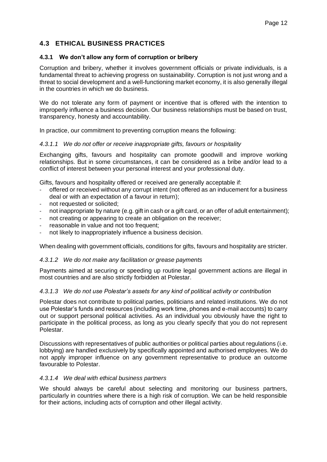# <span id="page-11-0"></span>**4.3 ETHICAL BUSINESS PRACTICES**

#### **4.3.1 We don't allow any form of corruption or bribery**

Corruption and bribery, whether it involves government officials or private individuals, is a fundamental threat to achieving progress on sustainability. Corruption is not just wrong and a threat to social development and a well-functioning market economy, it is also generally illegal in the countries in which we do business.

We do not tolerate any form of payment or incentive that is offered with the intention to improperly influence a business decision. Our business relationships must be based on trust, transparency, honesty and accountability.

In practice, our commitment to preventing corruption means the following:

#### *4.3.1.1 We do not offer or receive inappropriate gifts, favours or hospitality*

Exchanging gifts, favours and hospitality can promote goodwill and improve working relationships. But in some circumstances, it can be considered as a bribe and/or lead to a conflict of interest between your personal interest and your professional duty.

Gifts, favours and hospitality offered or received are generally acceptable if:

- offered or received without any corrupt intent (not offered as an inducement for a business deal or with an expectation of a favour in return);
- not requested or solicited;
- not inappropriate by nature (e.g. gift in cash or a gift card, or an offer of adult entertainment);
- not creating or appearing to create an obligation on the receiver;
- reasonable in value and not too frequent;
- not likely to inappropriately influence a business decision.

When dealing with government officials, conditions for gifts, favours and hospitality are stricter.

#### *4.3.1.2 We do not make any facilitation or grease payments*

Payments aimed at securing or speeding up routine legal government actions are illegal in most countries and are also strictly forbidden at Polestar.

#### *4.3.1.3 We do not use Polestar's assets for any kind of political activity or contribution*

Polestar does not contribute to political parties, politicians and related institutions. We do not use Polestar's funds and resources (including work time, phones and e-mail accounts) to carry out or support personal political activities. As an individual you obviously have the right to participate in the political process, as long as you clearly specify that you do not represent Polestar.

Discussions with representatives of public authorities or political parties about regulations (i.e. lobbying) are handled exclusively by specifically appointed and authorised employees. We do not apply improper influence on any government representative to produce an outcome favourable to Polestar.

#### *4.3.1.4 We deal with ethical business partners*

We should always be careful about selecting and monitoring our business partners, particularly in countries where there is a high risk of corruption. We can be held responsible for their actions, including acts of corruption and other illegal activity.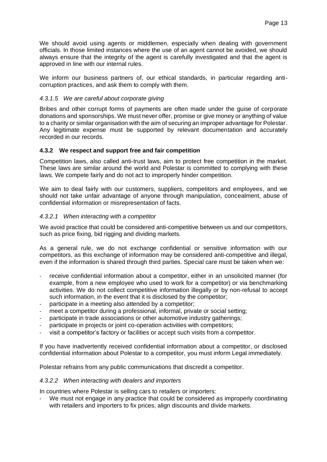We should avoid using agents or middlemen, especially when dealing with government officials. In those limited instances where the use of an agent cannot be avoided, we should always ensure that the integrity of the agent is carefully investigated and that the agent is approved in line with our internal rules.

We inform our business partners of, our ethical standards, in particular regarding anticorruption practices, and ask them to comply with them.

#### *4.3.1.5 We are careful about corporate giving*

Bribes and other corrupt forms of payments are often made under the guise of corporate donations and sponsorships. We must never offer, promise or give money or anything of value to a charity or similar organisation with the aim of securing an improper advantage for Polestar. Any legitimate expense must be supported by relevant documentation and accurately recorded in our records.

#### **4.3.2 We respect and support free and fair competition**

Competition laws, also called anti-trust laws, aim to protect free competition in the market. These laws are similar around the world and Polestar is committed to complying with these laws. We compete fairly and do not act to improperly hinder competition.

We aim to deal fairly with our customers, suppliers, competitors and employees, and we should not take unfair advantage of anyone through manipulation, concealment, abuse of confidential information or misrepresentation of facts.

#### *4.3.2.1 When interacting with a competitor*

We avoid practice that could be considered anti-competitive between us and our competitors, such as price fixing, bid rigging and dividing markets.

As a general rule, we do not exchange confidential or sensitive information with our competitors, as this exchange of information may be considered anti-competitive and illegal, even if the information is shared through third parties. Special care must be taken when we:

- receive confidential information about a competitor, either in an unsolicited manner (for example, from a new employee who used to work for a competitor) or via benchmarking activities. We do not collect competitive information illegally or by non-refusal to accept such information, in the event that it is disclosed by the competitor;
- participate in a meeting also attended by a competitor;
- meet a competitor during a professional, informal, private or social setting;
- participate in trade associations or other automotive industry gatherings:
- participate in projects or joint co-operation activities with competitors;
- visit a competitor's factory or facilities or accept such visits from a competitor.

If you have inadvertently received confidential information about a competitor, or disclosed confidential information about Polestar to a competitor, you must inform Legal immediately.

Polestar refrains from any public communications that discredit a competitor.

#### *4.3.2.2 When interacting with dealers and importers*

In countries where Polestar is selling cars to retailers or importers:

We must not engage in any practice that could be considered as improperly coordinating with retailers and importers to fix prices, align discounts and divide markets.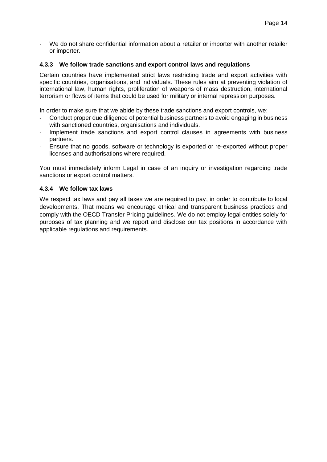- We do not share confidential information about a retailer or importer with another retailer or importer.

#### **4.3.3 We follow trade sanctions and export control laws and regulations**

Certain countries have implemented strict laws restricting trade and export activities with specific countries, organisations, and individuals. These rules aim at preventing violation of international law, human rights, proliferation of weapons of mass destruction, international terrorism or flows of items that could be used for military or internal repression purposes.

In order to make sure that we abide by these trade sanctions and export controls, we:

- Conduct proper due diligence of potential business partners to avoid engaging in business with sanctioned countries, organisations and individuals.
- Implement trade sanctions and export control clauses in agreements with business partners.
- Ensure that no goods, software or technology is exported or re-exported without proper licenses and authorisations where required.

You must immediately inform Legal in case of an inquiry or investigation regarding trade sanctions or export control matters.

#### **4.3.4 We follow tax laws**

We respect tax laws and pay all taxes we are required to pay, in order to contribute to local developments. That means we encourage ethical and transparent business practices and comply with the OECD Transfer Pricing guidelines. We do not employ legal entities solely for purposes of tax planning and we report and disclose our tax positions in accordance with applicable regulations and requirements.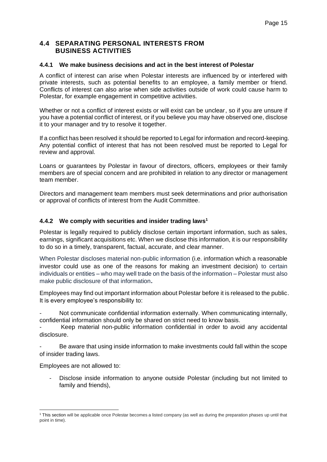### <span id="page-14-0"></span>**4.4 SEPARATING PERSONAL INTERESTS FROM BUSINESS ACTIVITIES**

#### **4.4.1 We make business decisions and act in the best interest of Polestar**

A conflict of interest can arise when Polestar interests are influenced by or interfered with private interests, such as potential benefits to an employee, a family member or friend. Conflicts of interest can also arise when side activities outside of work could cause harm to Polestar, for example engagement in competitive activities.

Whether or not a conflict of interest exists or will exist can be unclear, so if you are unsure if you have a potential conflict of interest, or if you believe you may have observed one, disclose it to your manager and try to resolve it together.

If a conflict has been resolved it should be reported to Legal for information and record-keeping. Any potential conflict of interest that has not been resolved must be reported to Legal for review and approval.

Loans or guarantees by Polestar in favour of directors, officers, employees or their family members are of special concern and are prohibited in relation to any director or management team member.

Directors and management team members must seek determinations and prior authorisation or approval of conflicts of interest from the Audit Committee.

#### **4.4.2 We comply with securities and insider trading laws<sup>1</sup>**

Polestar is legally required to publicly disclose certain important information, such as sales, earnings, significant acquisitions etc. When we disclose this information, it is our responsibility to do so in a timely, transparent, factual, accurate, and clear manner.

When Polestar discloses material non-public information (i.e. information which a reasonable investor could use as one of the reasons for making an investment decision) to certain individuals or entities – who may well trade on the basis of the information – Polestar must also make public disclosure of that information**.**

Employees may find out important information about Polestar before it is released to the public. It is every employee's responsibility to:

Not communicate confidential information externally. When communicating internally, confidential information should only be shared on strict need to know basis.

Keep material non-public information confidential in order to avoid any accidental disclosure.

Be aware that using inside information to make investments could fall within the scope of insider trading laws.

Employees are not allowed to:

Disclose inside information to anyone outside Polestar (including but not limited to family and friends),

<sup>1</sup> This section will be applicable once Polestar becomes a listed company (as well as during the preparation phases up until that point in time).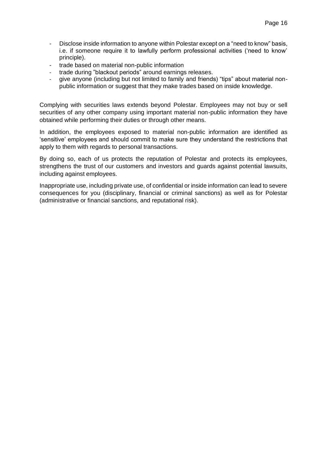- Disclose inside information to anyone within Polestar except on a "need to know" basis, i.e. if someone require it to lawfully perform professional activities ('need to know' principle).
- trade based on material non-public information
- trade during "blackout periods" around earnings releases.
- give anyone (including but not limited to family and friends) "tips" about material nonpublic information or suggest that they make trades based on inside knowledge.

Complying with securities laws extends beyond Polestar. Employees may not buy or sell securities of any other company using important material non-public information they have obtained while performing their duties or through other means.

In addition, the employees exposed to material non-public information are identified as 'sensitive' employees and should commit to make sure they understand the restrictions that apply to them with regards to personal transactions.

By doing so, each of us protects the reputation of Polestar and protects its employees, strengthens the trust of our customers and investors and guards against potential lawsuits, including against employees.

Inappropriate use, including private use, of confidential or inside information can lead to severe consequences for you (disciplinary, financial or criminal sanctions) as well as for Polestar (administrative or financial sanctions, and reputational risk).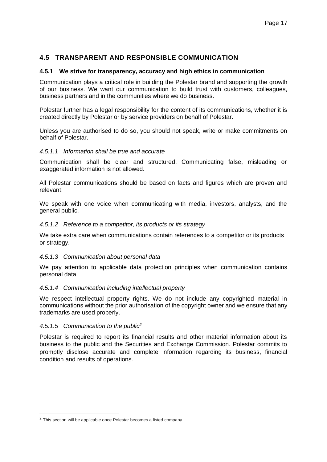### <span id="page-16-0"></span>**4.5 TRANSPARENT AND RESPONSIBLE COMMUNICATION**

#### **4.5.1 We strive for transparency, accuracy and high ethics in communication**

Communication plays a critical role in building the Polestar brand and supporting the growth of our business. We want our communication to build trust with customers, colleagues, business partners and in the communities where we do business.

Polestar further has a legal responsibility for the content of its communications, whether it is created directly by Polestar or by service providers on behalf of Polestar.

Unless you are authorised to do so, you should not speak, write or make commitments on behalf of Polestar.

#### *4.5.1.1 Information shall be true and accurate*

Communication shall be clear and structured. Communicating false, misleading or exaggerated information is not allowed.

All Polestar communications should be based on facts and figures which are proven and relevant.

We speak with one voice when communicating with media, investors, analysts, and the general public.

#### *4.5.1.2 Reference to a competitor, its products or its strategy*

We take extra care when communications contain references to a competitor or its products or strategy.

#### *4.5.1.3 Communication about personal data*

We pay attention to applicable data protection principles when communication contains personal data.

#### *4.5.1.4 Communication including intellectual property*

We respect intellectual property rights. We do not include any copyrighted material in communications without the prior authorisation of the copyright owner and we ensure that any trademarks are used properly.

#### *4.5.1.5 Communication to the public<sup>2</sup>*

Polestar is required to report its financial results and other material information about its business to the public and the Securities and Exchange Commission. Polestar commits to promptly disclose accurate and complete information regarding its business, financial condition and results of operations.

<sup>&</sup>lt;sup>2</sup> This section will be applicable once Polestar becomes a listed company.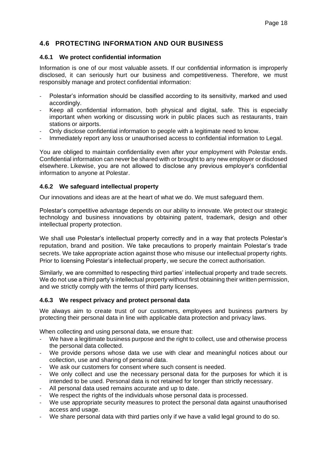### <span id="page-17-0"></span>**4.6 PROTECTING INFORMATION AND OUR BUSINESS**

#### **4.6.1 We protect confidential information**

Information is one of our most valuable assets. If our confidential information is improperly disclosed, it can seriously hurt our business and competitiveness. Therefore, we must responsibly manage and protect confidential information:

- Polestar's information should be classified according to its sensitivity, marked and used accordingly.
- Keep all confidential information, both physical and digital, safe. This is especially important when working or discussing work in public places such as restaurants, train stations or airports.
- Only disclose confidential information to people with a legitimate need to know.
- Immediately report any loss or unauthorised access to confidential information to Legal.

You are obliged to maintain confidentiality even after your employment with Polestar ends. Confidential information can never be shared with or brought to any new employer or disclosed elsewhere. Likewise, you are not allowed to disclose any previous employer's confidential information to anyone at Polestar.

#### **4.6.2 We safeguard intellectual property**

Our innovations and ideas are at the heart of what we do. We must safeguard them.

Polestar's competitive advantage depends on our ability to innovate. We protect our strategic technology and business innovations by obtaining patent, trademark, design and other intellectual property protection.

We shall use Polestar's intellectual property correctly and in a way that protects Polestar's reputation, brand and position. We take precautions to properly maintain Polestar's trade secrets. We take appropriate action against those who misuse our intellectual property rights. Prior to licensing Polestar's intellectual property, we secure the correct authorisation.

Similarly, we are committed to respecting third parties' intellectual property and trade secrets. We do not use a third party's intellectual property without first obtaining their written permission, and we strictly comply with the terms of third party licenses.

#### **4.6.3 We respect privacy and protect personal data**

We always aim to create trust of our customers, employees and business partners by protecting their personal data in line with applicable data protection and privacy laws.

When collecting and using personal data, we ensure that:

- We have a legitimate business purpose and the right to collect, use and otherwise process the personal data collected.
- We provide persons whose data we use with clear and meaningful notices about our collection, use and sharing of personal data.
- We ask our customers for consent where such consent is needed.
- We only collect and use the necessary personal data for the purposes for which it is intended to be used. Personal data is not retained for longer than strictly necessary.
- All personal data used remains accurate and up to date.
- We respect the rights of the individuals whose personal data is processed.
- We use appropriate security measures to protect the personal data against unauthorised access and usage.
- We share personal data with third parties only if we have a valid legal ground to do so.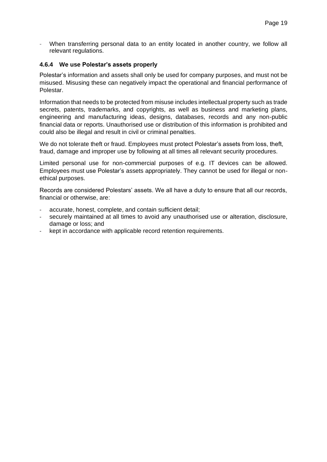When transferring personal data to an entity located in another country, we follow all relevant regulations.

#### **4.6.4 We use Polestar's assets properly**

Polestar's information and assets shall only be used for company purposes, and must not be misused. Misusing these can negatively impact the operational and financial performance of Polestar.

Information that needs to be protected from misuse includes intellectual property such as trade secrets, patents, trademarks, and copyrights, as well as business and marketing plans, engineering and manufacturing ideas, designs, databases, records and any non-public financial data or reports. Unauthorised use or distribution of this information is prohibited and could also be illegal and result in civil or criminal penalties.

We do not tolerate theft or fraud. Employees must protect Polestar's assets from loss, theft, fraud, damage and improper use by following at all times all relevant security procedures.

Limited personal use for non-commercial purposes of e.g. IT devices can be allowed. Employees must use Polestar's assets appropriately. They cannot be used for illegal or nonethical purposes.

Records are considered Polestars' assets. We all have a duty to ensure that all our records, financial or otherwise, are:

- accurate, honest, complete, and contain sufficient detail;
- securely maintained at all times to avoid any unauthorised use or alteration, disclosure, damage or loss; and
- kept in accordance with applicable record retention requirements.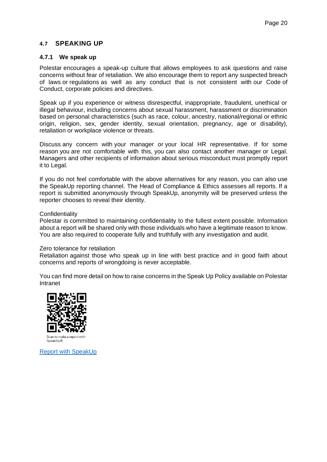### <span id="page-19-0"></span>**4.7 SPEAKING UP**

#### **4.7.1 We speak up**

Polestar encourages a speak-up culture that allows employees to ask questions and raise concerns without fear of retaliation. We also encourage them to report any suspected breach of laws or regulations as well as any conduct that is not consistent with our Code of Conduct, corporate policies and directives.

Speak up if you experience or witness disrespectful, inappropriate, fraudulent, unethical or illegal behaviour, including concerns about sexual harassment, harassment or discrimination based on personal characteristics (such as race, colour, ancestry, national/regional or ethnic origin, religion, sex, gender identity, sexual orientation, pregnancy, age or disability), retaliation or workplace violence or threats.

Discuss any concern with your manager or your local HR representative. If for some reason you are not comfortable with this, you can also contact another manager or Legal. Managers and other recipients of information about serious misconduct must promptly report it to Legal.

If you do not feel comfortable with the above alternatives for any reason, you can also use the SpeakUp reporting channel. The Head of Compliance & Ethics assesses all reports. If a report is submitted anonymously through SpeakUp, anonymity will be preserved unless the reporter chooses to reveal their identity.

#### **Confidentiality**

Polestar is committed to maintaining confidentiality to the fullest extent possible. Information about a report will be shared only with those individuals who have a legitimate reason to know. You are also required to cooperate fully and truthfully with any investigation and audit.

#### Zero tolerance for retaliation

Retaliation against those who speak up in line with best practice and in good faith about concerns and reports of wrongdoing is never acceptable.

You can find more detail on how to raise concerns in the Speak Up Policy available on Polestar Intranet



Scan to make a report with SpeakUp®

[Report with SpeakUp](https://www.speakupfeedback.eu/web/polestar/)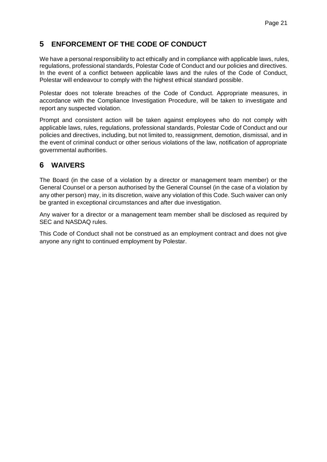# <span id="page-20-0"></span>**5 ENFORCEMENT OF THE CODE OF CONDUCT**

We have a personal responsibility to act ethically and in compliance with applicable laws, rules, regulations, professional standards, Polestar Code of Conduct and our policies and directives. In the event of a conflict between applicable laws and the rules of the Code of Conduct, Polestar will endeavour to comply with the highest ethical standard possible.

Polestar does not tolerate breaches of the Code of Conduct. Appropriate measures, in accordance with the Compliance Investigation Procedure, will be taken to investigate and report any suspected violation.

Prompt and consistent action will be taken against employees who do not comply with applicable laws, rules, regulations, professional standards, Polestar Code of Conduct and our policies and directives, including, but not limited to, reassignment, demotion, dismissal, and in the event of criminal conduct or other serious violations of the law, notification of appropriate governmental authorities.

# <span id="page-20-1"></span>**6 WAIVERS**

The Board (in the case of a violation by a director or management team member) or the General Counsel or a person authorised by the General Counsel (in the case of a violation by any other person) may, in its discretion, waive any violation of this Code. Such waiver can only be granted in exceptional circumstances and after due investigation.

Any waiver for a director or a management team member shall be disclosed as required by SEC and NASDAQ rules.

This Code of Conduct shall not be construed as an employment contract and does not give anyone any right to continued employment by Polestar.